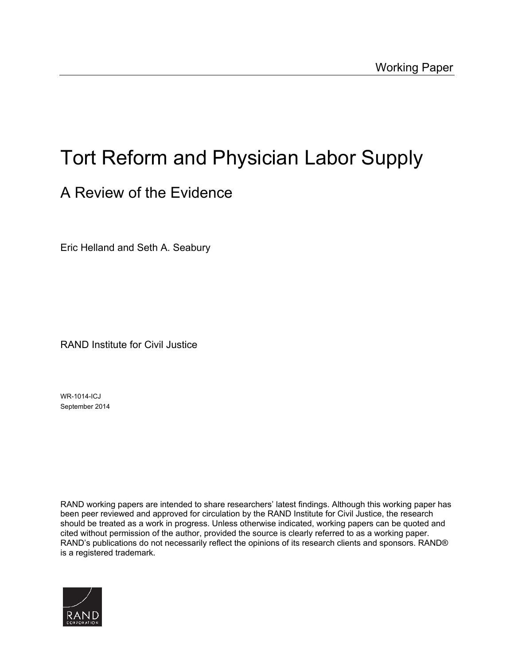# Tort Reform and Physician Labor Supply

# A Review of the Evidence

Eric Helland and Seth A. Seabury

RAND Institute for Civil Justice

WR-1014-ICJ September 2014

RAND working papers are intended to share researchers' latest findings. Although this working paper has been peer reviewed and approved for circulation by the RAND Institute for Civil Justice, the research should be treated as a work in progress. Unless otherwise indicated, working papers can be quoted and cited without permission of the author, provided the source is clearly referred to as a working paper. RAND's publications do not necessarily reflect the opinions of its research clients and sponsors. RAND® is a registered trademark**.** 

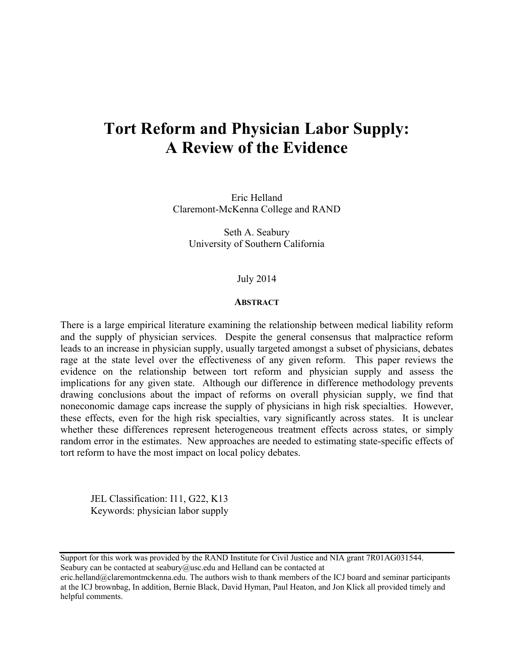# **Tort Reform and Physician Labor Supply: A Review of the Evidence**

Eric Helland Claremont-McKenna College and RAND

Seth A. Seabury University of Southern California

#### July 2014

#### **ABSTRACT**

There is a large empirical literature examining the relationship between medical liability reform and the supply of physician services. Despite the general consensus that malpractice reform leads to an increase in physician supply, usually targeted amongst a subset of physicians, debates rage at the state level over the effectiveness of any given reform. This paper reviews the evidence on the relationship between tort reform and physician supply and assess the implications for any given state. Although our difference in difference methodology prevents drawing conclusions about the impact of reforms on overall physician supply, we find that noneconomic damage caps increase the supply of physicians in high risk specialties. However, these effects, even for the high risk specialties, vary significantly across states. It is unclear whether these differences represent heterogeneous treatment effects across states, or simply random error in the estimates. New approaches are needed to estimating state-specific effects of tort reform to have the most impact on local policy debates.

 JEL Classification: I11, G22, K13 Keywords: physician labor supply

Support for this work was provided by the RAND Institute for Civil Justice and NIA grant 7R01AG031544. Seabury can be contacted at [seabury@usc.edu](mailto:seabury@usc.edu) and Helland can be contacted at

[eric.helland@claremontmckenna.edu.](mailto:eric.helland@claremontmckenna.edu) The authors wish to thank members of the ICJ board and seminar participants at the ICJ brownbag, In addition, Bernie Black, David Hyman, Paul Heaton, and Jon Klick all provided timely and helpful comments.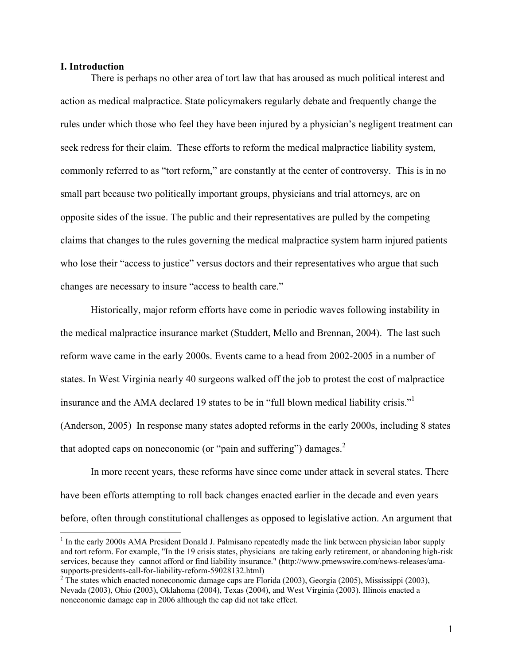#### **I. Introduction**

 $\overline{a}$ 

There is perhaps no other area of tort law that has aroused as much political interest and action as medical malpractice. State policymakers regularly debate and frequently change the rules under which those who feel they have been injured by a physician's negligent treatment can seek redress for their claim. These efforts to reform the medical malpractice liability system, commonly referred to as "tort reform," are constantly at the center of controversy. This is in no small part because two politically important groups, physicians and trial attorneys, are on opposite sides of the issue. The public and their representatives are pulled by the competing claims that changes to the rules governing the medical malpractice system harm injured patients who lose their "access to justice" versus doctors and their representatives who argue that such changes are necessary to insure "access to health care."

Historically, major reform efforts have come in periodic waves following instability in the medical malpractice insurance market (Studdert, Mello and Brennan, 2004). The last such reform wave came in the early 2000s. Events came to a head from 2002-2005 in a number of states. In West Virginia nearly 40 surgeons walked off the job to protest the cost of malpractice insurance and the AMA declared 19 states to be in "full blown medical liability crisis."<sup>1</sup> (Anderson, 2005)In response many states adopted reforms in the early 2000s, including 8 states that adopted caps on noneconomic (or "pain and suffering") damages. $2$ 

In more recent years, these reforms have since come under attack in several states. There have been efforts attempting to roll back changes enacted earlier in the decade and even years before, often through constitutional challenges as opposed to legislative action. An argument that

 $<sup>1</sup>$  In the early 2000s AMA President Donald J. Palmisano repeatedly made the link between physician labor supply</sup> and tort reform. For example, "In the 19 crisis states, physicians are taking early retirement, or abandoning high-risk services, because they cannot afford or find liability insurance." [\(http://www.prnewswire.com/news-releases/ama](http://www.prnewswire.com/news-releases/ama-supports-presidents-call-for-liability-reform-59028132.html)[supports-presidents-call-for-liability-reform-59028132.html\)](http://www.prnewswire.com/news-releases/ama-supports-presidents-call-for-liability-reform-59028132.html) [2](http://www.prnewswire.com/news-releases/ama-supports-presidents-call-for-liability-reform-59028132.html)

 $2$  The states which enacted noneconomic damage caps are Florida (2003), Georgia (2005), Mississippi (2003), Nevada (2003), Ohio (2003), Oklahoma (2004), Texas (2004), and West Virginia (2003). Illinois enacted a noneconomic damage cap in 2006 although the cap did not take effect.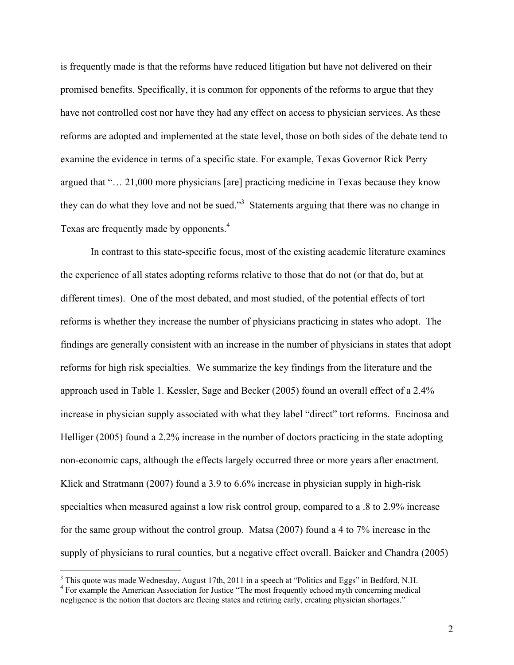is frequently made is that the reforms have reduced litigation but have not delivered on their promised benefits. Specifically, it is common for opponents of the reforms to argue that they have not controlled cost nor have they had any effect on access to physician services. As these reforms are adopted and implemented at the state level, those on both sides of the debate tend to examine the evidence in terms of a specific state. For example, Texas Governor Rick Perry argued that "… 21,000 more physicians [are] practicing medicine in Texas because they know they can do what they love and not be sued.<sup>33</sup> Statements arguing that there was no change in Texas are frequently made by opponents.<sup>4</sup>

In contrast to this state-specific focus, most of the existing academic literature examines the experience of all states adopting reforms relative to those that do not (or that do, but at different times). One of the most debated, and most studied, of the potential effects of tort reforms is whether they increase the number of physicians practicing in states who adopt. The findings are generally consistent with an increase in the number of physicians in states that adopt reforms for high risk specialties. We summarize the key findings from the literature and the approach used in Table 1. Kessler, Sage and Becker (2005) found an overall effect of a 2.4% increase in physician supply associated with what they label "direct" tort reforms. Encinosa and Helliger (2005) found a 2.2% increase in the number of doctors practicing in the state adopting non-economic caps, although the effects largely occurred three or more years after enactment. Klick and Stratmann (2007) found a 3.9 to 6.6% increase in physician supply in high-risk specialties when measured against a low risk control group, compared to a .8 to 2.9% increase for the same group without the control group. Matsa (2007) found a 4 to 7% increase in the supply of physicians to rural counties, but a negative effect overall. Baicker and Chandra (2005)

<sup>&</sup>lt;sup>3</sup> This quote was made Wednesday, August 17th, 2011 in a speech at "Politics and Eggs" in Bedford, N.H.  $^{4}$  For avanuals the American Association for Justice "The meet frequently sebecd muth concerning medical

<sup>&</sup>lt;sup>4</sup> For example the American Association for Justice "The most frequently echoed myth concerning medical negligence is the notion that doctors are fleeing states and retiring early, creating physician shortages."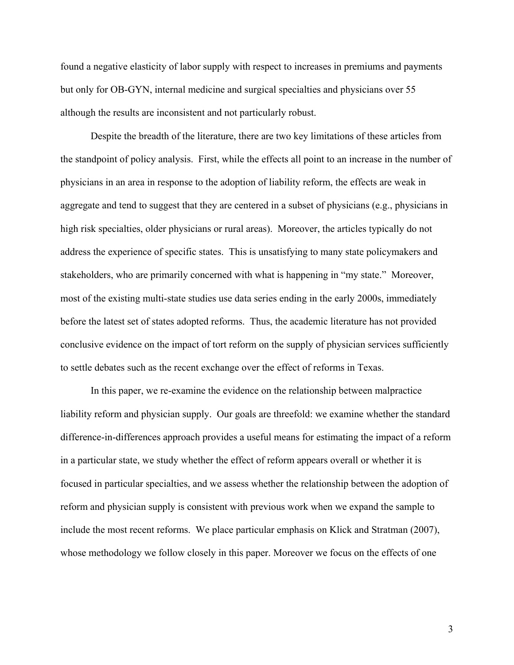found a negative elasticity of labor supply with respect to increases in premiums and payments but only for OB-GYN, internal medicine and surgical specialties and physicians over 55 although the results are inconsistent and not particularly robust.

Despite the breadth of the literature, there are two key limitations of these articles from the standpoint of policy analysis. First, while the effects all point to an increase in the number of physicians in an area in response to the adoption of liability reform, the effects are weak in aggregate and tend to suggest that they are centered in a subset of physicians (e.g., physicians in high risk specialties, older physicians or rural areas). Moreover, the articles typically do not address the experience of specific states. This is unsatisfying to many state policymakers and stakeholders, who are primarily concerned with what is happening in "my state." Moreover, most of the existing multi-state studies use data series ending in the early 2000s, immediately before the latest set of states adopted reforms. Thus, the academic literature has not provided conclusive evidence on the impact of tort reform on the supply of physician services sufficiently to settle debates such as the recent exchange over the effect of reforms in Texas.

In this paper, we re-examine the evidence on the relationship between malpractice liability reform and physician supply. Our goals are threefold: we examine whether the standard difference-in-differences approach provides a useful means for estimating the impact of a reform in a particular state, we study whether the effect of reform appears overall or whether it is focused in particular specialties, and we assess whether the relationship between the adoption of reform and physician supply is consistent with previous work when we expand the sample to include the most recent reforms. We place particular emphasis on Klick and Stratman (2007), whose methodology we follow closely in this paper. Moreover we focus on the effects of one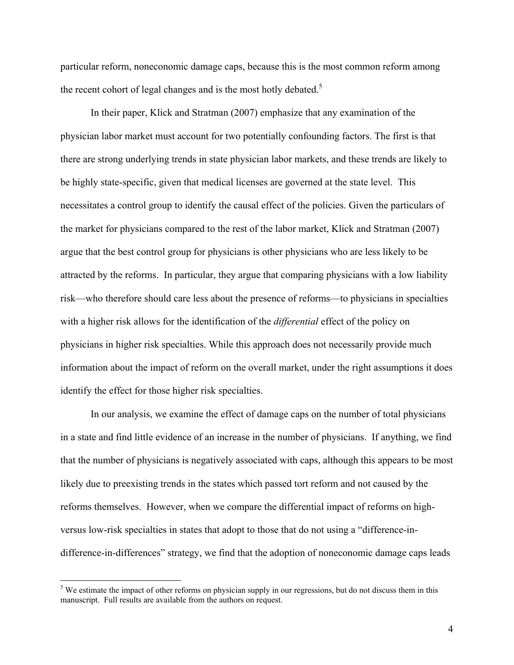particular reform, noneconomic damage caps, because this is the most common reform among the recent cohort of legal changes and is the most hotly debated.<sup>5</sup>

In their paper, Klick and Stratman (2007) emphasize that any examination of the physician labor market must account for two potentially confounding factors. The first is that there are strong underlying trends in state physician labor markets, and these trends are likely to be highly state-specific, given that medical licenses are governed at the state level. This necessitates a control group to identify the causal effect of the policies. Given the particulars of the market for physicians compared to the rest of the labor market, Klick and Stratman (2007) argue that the best control group for physicians is other physicians who are less likely to be attracted by the reforms. In particular, they argue that comparing physicians with a low liability risk—who therefore should care less about the presence of reforms—to physicians in specialties with a higher risk allows for the identification of the *differential* effect of the policy on physicians in higher risk specialties. While this approach does not necessarily provide much information about the impact of reform on the overall market, under the right assumptions it does identify the effect for those higher risk specialties.

In our analysis, we examine the effect of damage caps on the number of total physicians in a state and find little evidence of an increase in the number of physicians. If anything, we find that the number of physicians is negatively associated with caps, although this appears to be most likely due to preexisting trends in the states which passed tort reform and not caused by the reforms themselves. However, when we compare the differential impact of reforms on highversus low-risk specialties in states that adopt to those that do not using a "difference-indifference-in-differences" strategy, we find that the adoption of noneconomic damage caps leads

 $<sup>5</sup>$  We estimate the impact of other reforms on physician supply in our regressions, but do not discuss them in this</sup> manuscript. Full results are available from the authors on request.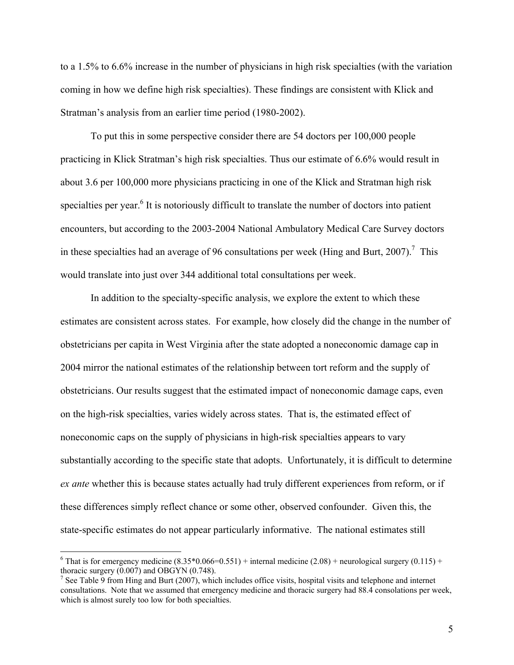to a 1.5% to 6.6% increase in the number of physicians in high risk specialties (with the variation coming in how we define high risk specialties). These findings are consistent with Klick and Stratman's analysis from an earlier time period (1980-2002).

To put this in some perspective consider there are 54 doctors per 100,000 people practicing in Klick Stratman's high risk specialties. Thus our estimate of 6.6% would result in about 3.6 per 100,000 more physicians practicing in one of the Klick and Stratman high risk specialties per year.<sup>6</sup> It is notoriously difficult to translate the number of doctors into patient encounters, but according to the 2003-2004 National Ambulatory Medical Care Survey doctors in these specialties had an average of 96 consultations per week (Hing and Burt, 2007).<sup>7</sup> This would translate into just over 344 additional total consultations per week.

In addition to the specialty-specific analysis, we explore the extent to which these estimates are consistent across states. For example, how closely did the change in the number of obstetricians per capita in West Virginia after the state adopted a noneconomic damage cap in 2004 mirror the national estimates of the relationship between tort reform and the supply of obstetricians. Our results suggest that the estimated impact of noneconomic damage caps, even on the high-risk specialties, varies widely across states. That is, the estimated effect of noneconomic caps on the supply of physicians in high-risk specialties appears to vary substantially according to the specific state that adopts. Unfortunately, it is difficult to determine *ex ante* whether this is because states actually had truly different experiences from reform, or if these differences simply reflect chance or some other, observed confounder. Given this, the state-specific estimates do not appear particularly informative. The national estimates still

<sup>&</sup>lt;sup>6</sup> That is for emergency medicine  $(8.35*0.066=0.551)$  + internal medicine  $(2.08)$  + neurological surgery  $(0.115)$  + thoracic surgery (0.007) and OBGYN (0.748).

<sup>&</sup>lt;sup>7</sup> See Table 9 from Hing and Burt (2007), which includes office visits, hospital visits and telephone and internet consultations. Note that we assumed that emergency medicine and thoracic surgery had 88.4 consolations per week, which is almost surely too low for both specialties.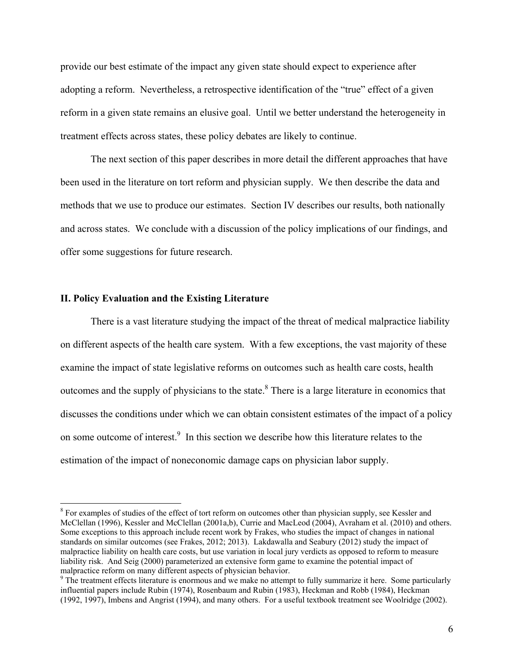provide our best estimate of the impact any given state should expect to experience after adopting a reform. Nevertheless, a retrospective identification of the "true" effect of a given reform in a given state remains an elusive goal. Until we better understand the heterogeneity in treatment effects across states, these policy debates are likely to continue.

The next section of this paper describes in more detail the different approaches that have been used in the literature on tort reform and physician supply. We then describe the data and methods that we use to produce our estimates. Section IV describes our results, both nationally and across states. We conclude with a discussion of the policy implications of our findings, and offer some suggestions for future research.

#### **II. Policy Evaluation and the Existing Literature**

1

There is a vast literature studying the impact of the threat of medical malpractice liability on different aspects of the health care system. With a few exceptions, the vast majority of these examine the impact of state legislative reforms on outcomes such as health care costs, health outcomes and the supply of physicians to the state.<sup>8</sup> There is a large literature in economics that discusses the conditions under which we can obtain consistent estimates of the impact of a policy on some outcome of interest.<sup>9</sup> In this section we describe how this literature relates to the estimation of the impact of noneconomic damage caps on physician labor supply.

 $8$  For examples of studies of the effect of tort reform on outcomes other than physician supply, see Kessler and McClellan (1996), Kessler and McClellan (2001a,b), Currie and MacLeod (2004), Avraham et al. (2010) and others. Some exceptions to this approach include recent work by Frakes, who studies the impact of changes in national standards on similar outcomes (see Frakes, 2012; 2013). Lakdawalla and Seabury (2012) study the impact of malpractice liability on health care costs, but use variation in local jury verdicts as opposed to reform to measure liability risk. And Seig (2000) parameterized an extensive form game to examine the potential impact of malpractice reform on many different aspects of physician behavior.

<sup>&</sup>lt;sup>9</sup> The treatment effects literature is enormous and we make no attempt to fully summarize it here. Some particularly influential papers include Rubin (1974), Rosenbaum and Rubin (1983), Heckman and Robb (1984), Heckman (1992, 1997), Imbens and Angrist (1994), and many others. For a useful textbook treatment see Woolridge (2002).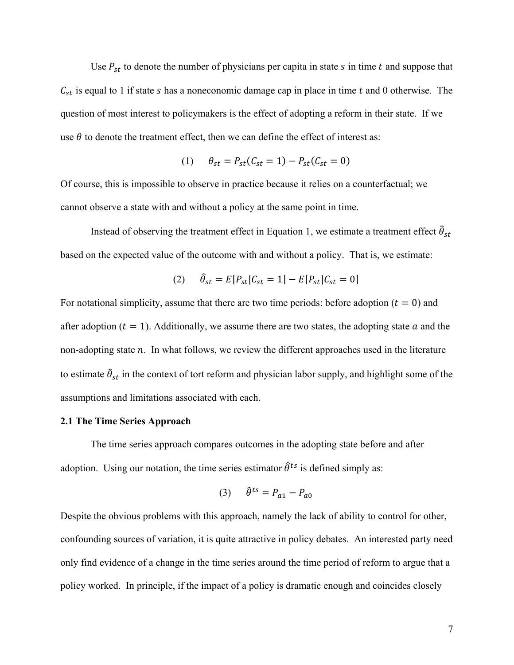Use  $P_{st}$  to denote the number of physicians per capita in state s in time t and suppose that  $C_{st}$  is equal to 1 if state s has a noneconomic damage cap in place in time t and 0 otherwise. The question of most interest to policymakers is the effect of adopting a reform in their state. If we use  $\theta$  to denote the treatment effect, then we can define the effect of interest as:

(1) 
$$
\theta_{st} = P_{st}(C_{st} = 1) - P_{st}(C_{st} = 0)
$$

Of course, this is impossible to observe in practice because it relies on a counterfactual; we cannot observe a state with and without a policy at the same point in time.

Instead of observing the treatment effect in Equation 1, we estimate a treatment effect  $\hat{\theta}_{st}$ based on the expected value of the outcome with and without a policy. That is, we estimate:

(2) 
$$
\hat{\theta}_{st} = E[P_{st}|C_{st} = 1] - E[P_{st}|C_{st} = 0]
$$

For notational simplicity, assume that there are two time periods: before adoption ( $t = 0$ ) and after adoption ( $t = 1$ ). Additionally, we assume there are two states, the adopting state  $a$  and the non-adopting state  $n$ . In what follows, we review the different approaches used in the literature to estimate  $\hat{\theta}_{st}$  in the context of tort reform and physician labor supply, and highlight some of the assumptions and limitations associated with each.

#### **2.1 The Time Series Approach**

The time series approach compares outcomes in the adopting state before and after adoption. Using our notation, the time series estimator  $\hat{\theta}^{ts}$  is defined simply as:

$$
(3) \qquad \hat{\theta}^{ts} = P_{a1} - P_{a0}
$$

Despite the obvious problems with this approach, namely the lack of ability to control for other, confounding sources of variation, it is quite attractive in policy debates. An interested party need only find evidence of a change in the time series around the time period of reform to argue that a policy worked. In principle, if the impact of a policy is dramatic enough and coincides closely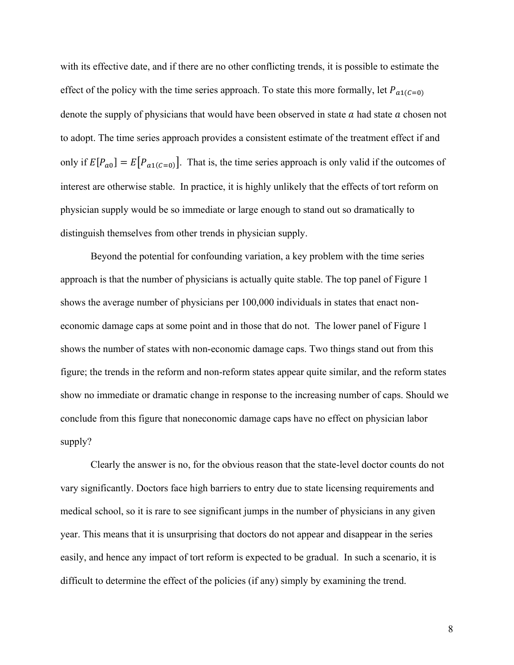with its effective date, and if there are no other conflicting trends, it is possible to estimate the effect of the policy with the time series approach. To state this more formally, let  $P_{a1(C=0)}$ denote the supply of physicians that would have been observed in state  $a$  had state  $a$  chosen not to adopt. The time series approach provides a consistent estimate of the treatment effect if and only if  $E[P_{a0}] = E[P_{a1(C=0)}]$ . That is, the time series approach is only valid if the outcomes of interest are otherwise stable. In practice, it is highly unlikely that the effects of tort reform on physician supply would be so immediate or large enough to stand out so dramatically to distinguish themselves from other trends in physician supply.

Beyond the potential for confounding variation, a key problem with the time series approach is that the number of physicians is actually quite stable. The top panel of Figure 1 shows the average number of physicians per 100,000 individuals in states that enact noneconomic damage caps at some point and in those that do not. The lower panel of Figure 1 shows the number of states with non-economic damage caps. Two things stand out from this figure; the trends in the reform and non-reform states appear quite similar, and the reform states show no immediate or dramatic change in response to the increasing number of caps. Should we conclude from this figure that noneconomic damage caps have no effect on physician labor supply?

Clearly the answer is no, for the obvious reason that the state-level doctor counts do not vary significantly. Doctors face high barriers to entry due to state licensing requirements and medical school, so it is rare to see significant jumps in the number of physicians in any given year. This means that it is unsurprising that doctors do not appear and disappear in the series easily, and hence any impact of tort reform is expected to be gradual. In such a scenario, it is difficult to determine the effect of the policies (if any) simply by examining the trend.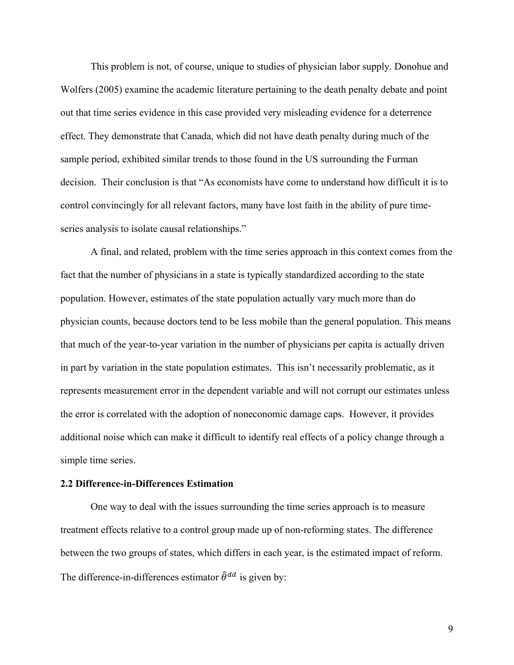This problem is not, of course, unique to studies of physician labor supply. Donohue and Wolfers (2005) examine the academic literature pertaining to the death penalty debate and point out that time series evidence in this case provided very misleading evidence for a deterrence effect. They demonstrate that Canada, which did not have death penalty during much of the sample period, exhibited similar trends to those found in the US surrounding the Furman decision. Their conclusion is that "As economists have come to understand how difficult it is to control convincingly for all relevant factors, many have lost faith in the ability of pure timeseries analysis to isolate causal relationships."

A final, and related, problem with the time series approach in this context comes from the fact that the number of physicians in a state is typically standardized according to the state population. However, estimates of the state population actually vary much more than do physician counts, because doctors tend to be less mobile than the general population. This means that much of the year-to-year variation in the number of physicians per capita is actually driven in part by variation in the state population estimates. This isn't necessarily problematic, as it represents measurement error in the dependent variable and will not corrupt our estimates unless the error is correlated with the adoption of noneconomic damage caps. However, it provides additional noise which can make it difficult to identify real effects of a policy change through a simple time series.

#### **2.2 Difference-in-Differences Estimation**

One way to deal with the issues surrounding the time series approach is to measure treatment effects relative to a control group made up of non-reforming states. The difference between the two groups of states, which differs in each year, is the estimated impact of reform. The difference-in-differences estimator  $\hat{\theta}^{dd}$  is given by: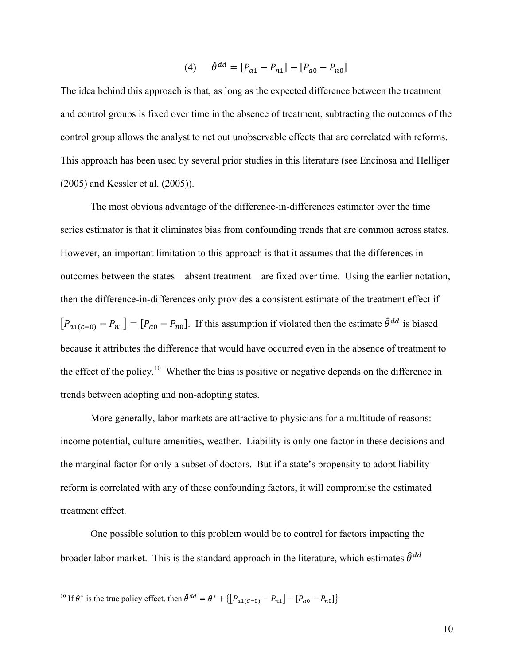$$
(4) \qquad \hat{\theta}^{dd} = [P_{a1} - P_{n1}] - [P_{a0} - P_{n0}]
$$

The idea behind this approach is that, as long as the expected difference between the treatment and control groups is fixed over time in the absence of treatment, subtracting the outcomes of the control group allows the analyst to net out unobservable effects that are correlated with reforms. This approach has been used by several prior studies in this literature (see Encinosa and Helliger (2005) and Kessler et al. (2005)).

The most obvious advantage of the difference-in-differences estimator over the time series estimator is that it eliminates bias from confounding trends that are common across states. However, an important limitation to this approach is that it assumes that the differences in outcomes between the states—absent treatment—are fixed over time. Using the earlier notation, then the difference-in-differences only provides a consistent estimate of the treatment effect if  $[P_{a1(c=0)} - P_{n1}] = [P_{a0} - P_{n0}]$ . If this assumption if violated then the estimate  $\hat{\theta}^{dd}$  is biased because it attributes the difference that would have occurred even in the absence of treatment to the effect of the policy.10 Whether the bias is positive or negative depends on the difference in trends between adopting and non-adopting states.

More generally, labor markets are attractive to physicians for a multitude of reasons: income potential, culture amenities, weather. Liability is only one factor in these decisions and the marginal factor for only a subset of doctors. But if a state's propensity to adopt liability reform is correlated with any of these confounding factors, it will compromise the estimated treatment effect.

One possible solution to this problem would be to control for factors impacting the broader labor market. This is the standard approach in the literature, which estimates  $\hat{\theta}^{dd}$ 

1

<sup>&</sup>lt;sup>10</sup> If  $\theta^*$  is the true policy effect, then  $\hat{\theta}^{dd} = \theta^* + \{[P_{a1(C=0)} - P_{n1}] - [P_{a0} - P_{n0}]\}$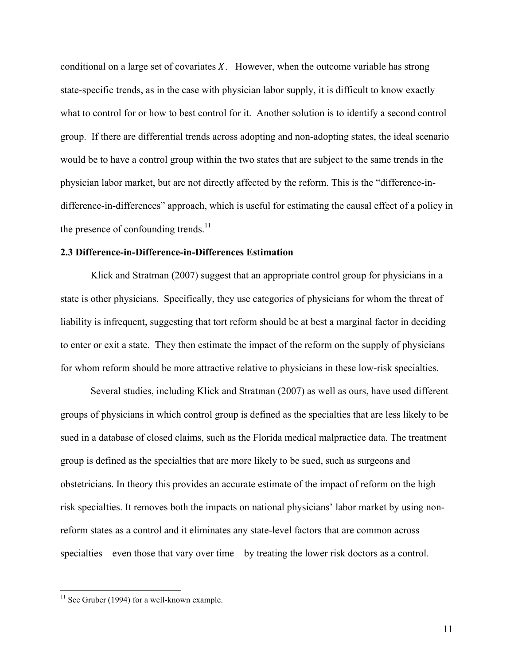conditional on a large set of covariates  $X$ . However, when the outcome variable has strong state-specific trends, as in the case with physician labor supply, it is difficult to know exactly what to control for or how to best control for it. Another solution is to identify a second control group. If there are differential trends across adopting and non-adopting states, the ideal scenario would be to have a control group within the two states that are subject to the same trends in the physician labor market, but are not directly affected by the reform. This is the "difference-indifference-in-differences" approach, which is useful for estimating the causal effect of a policy in the presence of confounding trends. $11$ 

#### **2.3 Difference-in-Difference-in-Differences Estimation**

Klick and Stratman (2007) suggest that an appropriate control group for physicians in a state is other physicians. Specifically, they use categories of physicians for whom the threat of liability is infrequent, suggesting that tort reform should be at best a marginal factor in deciding to enter or exit a state. They then estimate the impact of the reform on the supply of physicians for whom reform should be more attractive relative to physicians in these low-risk specialties.

 Several studies, including Klick and Stratman (2007) as well as ours, have used different groups of physicians in which control group is defined as the specialties that are less likely to be sued in a database of closed claims, such as the Florida medical malpractice data. The treatment group is defined as the specialties that are more likely to be sued, such as surgeons and obstetricians. In theory this provides an accurate estimate of the impact of reform on the high risk specialties. It removes both the impacts on national physicians' labor market by using nonreform states as a control and it eliminates any state-level factors that are common across specialties – even those that vary over time – by treating the lower risk doctors as a control.

 $11$  See Gruber (1994) for a well-known example.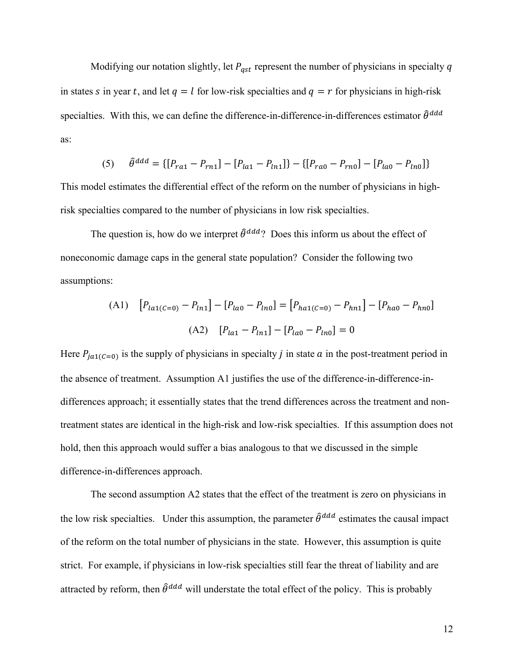Modifying our notation slightly, let  $P_{ast}$  represent the number of physicians in specialty q in states s in year t, and let  $q = l$  for low-risk specialties and  $q = r$  for physicians in high-risk specialties. With this, we can define the difference-in-difference-in-differences estimator  $\hat{\theta}^{ddd}$ as:

(5) 
$$
\hat{\theta}^{ddd} = \{ [P_{ra1} - P_{rn1}] - [P_{la1} - P_{ln1}] \} - \{ [P_{ra0} - P_{rn0}] - [P_{la0} - P_{ln0}] \}
$$

This model estimates the differential effect of the reform on the number of physicians in highrisk specialties compared to the number of physicians in low risk specialties.

The question is, how do we interpret  $\hat{\theta}^{ddd}$ ? Does this inform us about the effect of noneconomic damage caps in the general state population? Consider the following two assumptions:

(A1) 
$$
[P_{la1(C=0)} - P_{ln1}] - [P_{la0} - P_{ln0}] = [P_{ha1(C=0)} - P_{hn1}] - [P_{ha0} - P_{hn0}]
$$
  
(A2) 
$$
[P_{la1} - P_{ln1}] - [P_{la0} - P_{ln0}] = 0
$$

Here  $P_{ja1(C=0)}$  is the supply of physicians in specialty *j* in state *a* in the post-treatment period in the absence of treatment. Assumption A1 justifies the use of the difference-in-difference-indifferences approach; it essentially states that the trend differences across the treatment and nontreatment states are identical in the high-risk and low-risk specialties. If this assumption does not hold, then this approach would suffer a bias analogous to that we discussed in the simple difference-in-differences approach.

The second assumption A2 states that the effect of the treatment is zero on physicians in the low risk specialties. Under this assumption, the parameter  $\hat{\theta}^{ddd}$  estimates the causal impact of the reform on the total number of physicians in the state. However, this assumption is quite strict. For example, if physicians in low-risk specialties still fear the threat of liability and are attracted by reform, then  $\hat{\theta}^{ddd}$  will understate the total effect of the policy. This is probably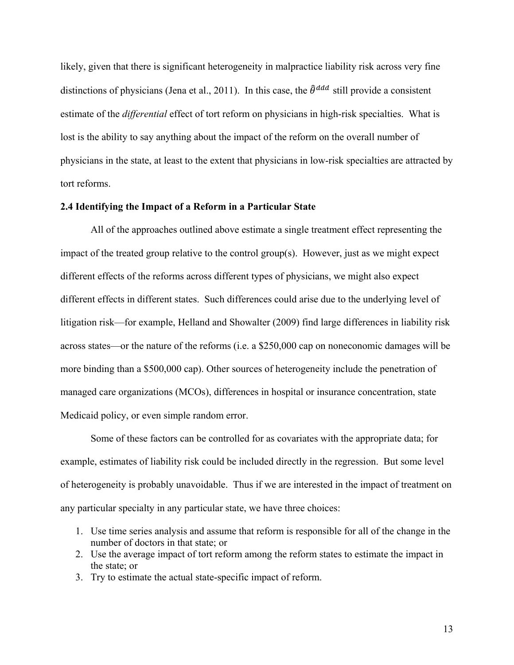likely, given that there is significant heterogeneity in malpractice liability risk across very fine distinctions of physicians (Jena et al., 2011). In this case, the  $\hat{\theta}^{ddd}$  still provide a consistent estimate of the *differential* effect of tort reform on physicians in high-risk specialties. What is lost is the ability to say anything about the impact of the reform on the overall number of physicians in the state, at least to the extent that physicians in low-risk specialties are attracted by tort reforms.

#### **2.4 Identifying the Impact of a Reform in a Particular State**

All of the approaches outlined above estimate a single treatment effect representing the impact of the treated group relative to the control group(s). However, just as we might expect different effects of the reforms across different types of physicians, we might also expect different effects in different states. Such differences could arise due to the underlying level of litigation risk—for example, Helland and Showalter (2009) find large differences in liability risk across states—or the nature of the reforms (i.e. a \$250,000 cap on noneconomic damages will be more binding than a \$500,000 cap). Other sources of heterogeneity include the penetration of managed care organizations (MCOs), differences in hospital or insurance concentration, state Medicaid policy, or even simple random error.

Some of these factors can be controlled for as covariates with the appropriate data; for example, estimates of liability risk could be included directly in the regression. But some level of heterogeneity is probably unavoidable. Thus if we are interested in the impact of treatment on any particular specialty in any particular state, we have three choices:

- 1. Use time series analysis and assume that reform is responsible for all of the change in the number of doctors in that state; or
- 2. Use the average impact of tort reform among the reform states to estimate the impact in the state; or
- 3. Try to estimate the actual state-specific impact of reform.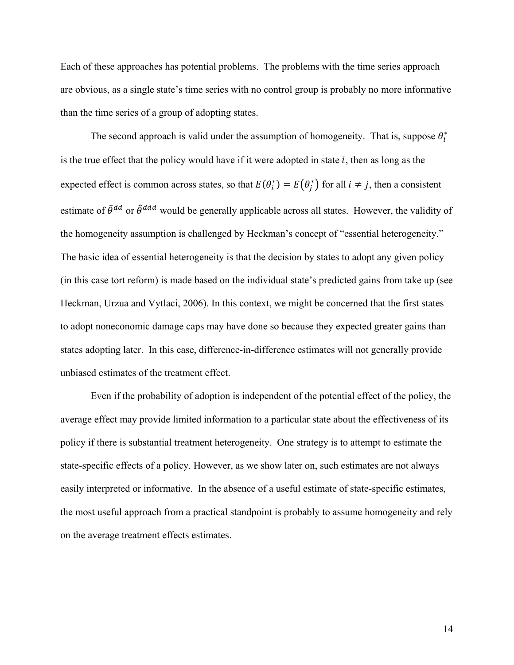Each of these approaches has potential problems. The problems with the time series approach are obvious, as a single state's time series with no control group is probably no more informative than the time series of a group of adopting states.

The second approach is valid under the assumption of homogeneity. That is, suppose  $\theta_i^*$ is the true effect that the policy would have if it were adopted in state  $i$ , then as long as the expected effect is common across states, so that  $E(\theta_i^*) = E(\theta_j^*)$  for all  $i \neq j$ , then a consistent estimate of  $\hat{\theta}^{dd}$  or  $\hat{\theta}^{ddd}$  would be generally applicable across all states. However, the validity of the homogeneity assumption is challenged by Heckman's concept of "essential heterogeneity." The basic idea of essential heterogeneity is that the decision by states to adopt any given policy (in this case tort reform) is made based on the individual state's predicted gains from take up (see Heckman, Urzua and Vytlaci, 2006). In this context, we might be concerned that the first states to adopt noneconomic damage caps may have done so because they expected greater gains than states adopting later. In this case, difference-in-difference estimates will not generally provide unbiased estimates of the treatment effect.

Even if the probability of adoption is independent of the potential effect of the policy, the average effect may provide limited information to a particular state about the effectiveness of its policy if there is substantial treatment heterogeneity. One strategy is to attempt to estimate the state-specific effects of a policy. However, as we show later on, such estimates are not always easily interpreted or informative. In the absence of a useful estimate of state-specific estimates, the most useful approach from a practical standpoint is probably to assume homogeneity and rely on the average treatment effects estimates.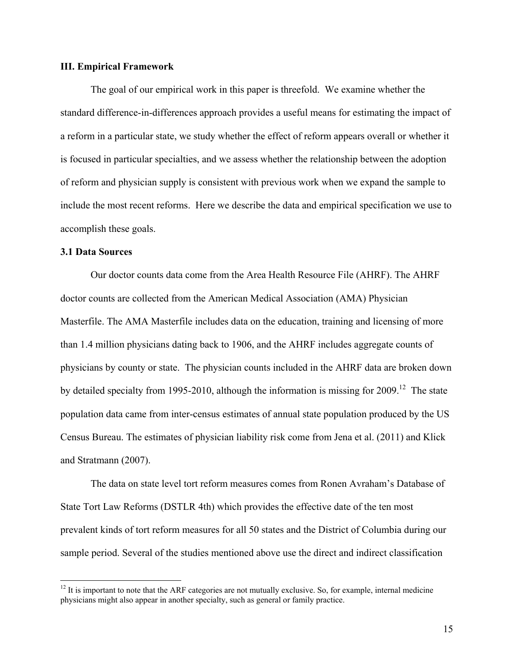#### **III. Empirical Framework**

The goal of our empirical work in this paper is threefold. We examine whether the standard difference-in-differences approach provides a useful means for estimating the impact of a reform in a particular state, we study whether the effect of reform appears overall or whether it is focused in particular specialties, and we assess whether the relationship between the adoption of reform and physician supply is consistent with previous work when we expand the sample to include the most recent reforms. Here we describe the data and empirical specification we use to accomplish these goals.

#### **3.1 Data Sources**

 $\overline{a}$ 

Our doctor counts data come from the Area Health Resource File (AHRF). The AHRF doctor counts are collected from the American Medical Association (AMA) Physician Masterfile. The AMA Masterfile includes data on the education, training and licensing of more than 1.4 million physicians dating back to 1906, and the AHRF includes aggregate counts of physicians by county or state. The physician counts included in the AHRF data are broken down by detailed specialty from 1995-2010, although the information is missing for 2009.<sup>12</sup> The state population data came from inter-census estimates of annual state population produced by the US Census Bureau. The estimates of physician liability risk come from Jena et al. (2011) and Klick and Stratmann (2007).

The data on state level tort reform measures comes from Ronen Avraham's Database of State Tort Law Reforms (DSTLR 4th) which provides the effective date of the ten most prevalent kinds of tort reform measures for all 50 states and the District of Columbia during our sample period. Several of the studies mentioned above use the direct and indirect classification

 $12$  It is important to note that the ARF categories are not mutually exclusive. So, for example, internal medicine physicians might also appear in another specialty, such as general or family practice.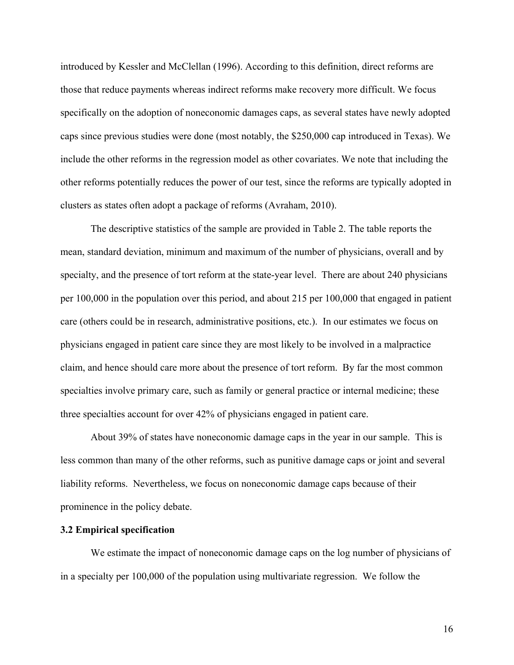introduced by Kessler and McClellan (1996). According to this definition, direct reforms are those that reduce payments whereas indirect reforms make recovery more difficult. We focus specifically on the adoption of noneconomic damages caps, as several states have newly adopted caps since previous studies were done (most notably, the \$250,000 cap introduced in Texas). We include the other reforms in the regression model as other covariates. We note that including the other reforms potentially reduces the power of our test, since the reforms are typically adopted in clusters as states often adopt a package of reforms (Avraham, 2010).

The descriptive statistics of the sample are provided in Table 2. The table reports the mean, standard deviation, minimum and maximum of the number of physicians, overall and by specialty, and the presence of tort reform at the state-year level. There are about 240 physicians per 100,000 in the population over this period, and about 215 per 100,000 that engaged in patient care (others could be in research, administrative positions, etc.). In our estimates we focus on physicians engaged in patient care since they are most likely to be involved in a malpractice claim, and hence should care more about the presence of tort reform. By far the most common specialties involve primary care, such as family or general practice or internal medicine; these three specialties account for over 42% of physicians engaged in patient care.

About 39% of states have noneconomic damage caps in the year in our sample. This is less common than many of the other reforms, such as punitive damage caps or joint and several liability reforms. Nevertheless, we focus on noneconomic damage caps because of their prominence in the policy debate.

#### **3.2 Empirical specification**

We estimate the impact of noneconomic damage caps on the log number of physicians of in a specialty per 100,000 of the population using multivariate regression. We follow the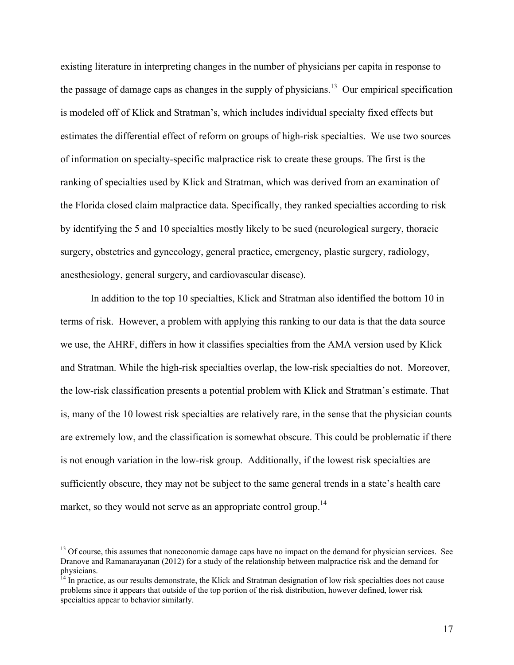existing literature in interpreting changes in the number of physicians per capita in response to the passage of damage caps as changes in the supply of physicians.<sup>13</sup> Our empirical specification is modeled off of Klick and Stratman's, which includes individual specialty fixed effects but estimates the differential effect of reform on groups of high-risk specialties. We use two sources of information on specialty-specific malpractice risk to create these groups. The first is the ranking of specialties used by Klick and Stratman, which was derived from an examination of the Florida closed claim malpractice data. Specifically, they ranked specialties according to risk by identifying the 5 and 10 specialties mostly likely to be sued (neurological surgery, thoracic surgery, obstetrics and gynecology, general practice, emergency, plastic surgery, radiology, anesthesiology, general surgery, and cardiovascular disease).

In addition to the top 10 specialties, Klick and Stratman also identified the bottom 10 in terms of risk. However, a problem with applying this ranking to our data is that the data source we use, the AHRF, differs in how it classifies specialties from the AMA version used by Klick and Stratman. While the high-risk specialties overlap, the low-risk specialties do not. Moreover, the low-risk classification presents a potential problem with Klick and Stratman's estimate. That is, many of the 10 lowest risk specialties are relatively rare, in the sense that the physician counts are extremely low, and the classification is somewhat obscure. This could be problematic if there is not enough variation in the low-risk group. Additionally, if the lowest risk specialties are sufficiently obscure, they may not be subject to the same general trends in a state's health care market, so they would not serve as an appropriate control group.<sup>14</sup>

<sup>&</sup>lt;sup>13</sup> Of course, this assumes that noneconomic damage caps have no impact on the demand for physician services. See Dranove and Ramanarayanan (2012) for a study of the relationship between malpractice risk and the demand for physicians.

<sup>&</sup>lt;sup>14</sup> In practice, as our results demonstrate, the Klick and Stratman designation of low risk specialties does not cause problems since it appears that outside of the top portion of the risk distribution, however defined, lower risk specialties appear to behavior similarly.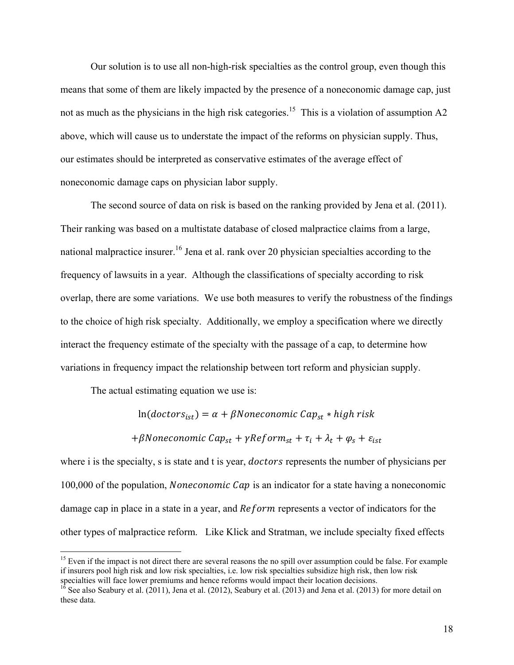Our solution is to use all non-high-risk specialties as the control group, even though this means that some of them are likely impacted by the presence of a noneconomic damage cap, just not as much as the physicians in the high risk categories.<sup>15</sup> This is a violation of assumption A2 above, which will cause us to understate the impact of the reforms on physician supply. Thus, our estimates should be interpreted as conservative estimates of the average effect of noneconomic damage caps on physician labor supply.

The second source of data on risk is based on the ranking provided by Jena et al. (2011). Their ranking was based on a multistate database of closed malpractice claims from a large, national malpractice insurer.<sup>16</sup> Jena et al. rank over 20 physician specialties according to the frequency of lawsuits in a year. Although the classifications of specialty according to risk overlap, there are some variations. We use both measures to verify the robustness of the findings to the choice of high risk specialty. Additionally, we employ a specification where we directly interact the frequency estimate of the specialty with the passage of a cap, to determine how variations in frequency impact the relationship between tort reform and physician supply.

The actual estimating equation we use is:

 $\overline{a}$ 

 $\ln(doctors_{ist}) = \alpha + \beta$ Noneconomic Ca $p_{st} * high$ risk

+ $\beta$ Noneconomic Cap<sub>st</sub> +  $\gamma$ Reform<sub>st</sub> +  $\tau_i$  +  $\lambda_t$  +  $\varphi_s$  +  $\varepsilon_{ist}$ 

where i is the specialty, s is state and t is year, *doctors* represents the number of physicians per 100,000 of the population, *Noneconomic Cap* is an indicator for a state having a noneconomic damage cap in place in a state in a year, and Reform represents a vector of indicators for the other types of malpractice reform. Like Klick and Stratman, we include specialty fixed effects

<sup>&</sup>lt;sup>15</sup> Even if the impact is not direct there are several reasons the no spill over assumption could be false. For example if insurers pool high risk and low risk specialties, i.e. low risk specialties subsidize high risk, then low risk

 $\frac{16}{16}$  See also Seabury et al. (2011), Jena et al. (2012), Seabury et al. (2013) and Jena et al. (2013) for more detail on these data.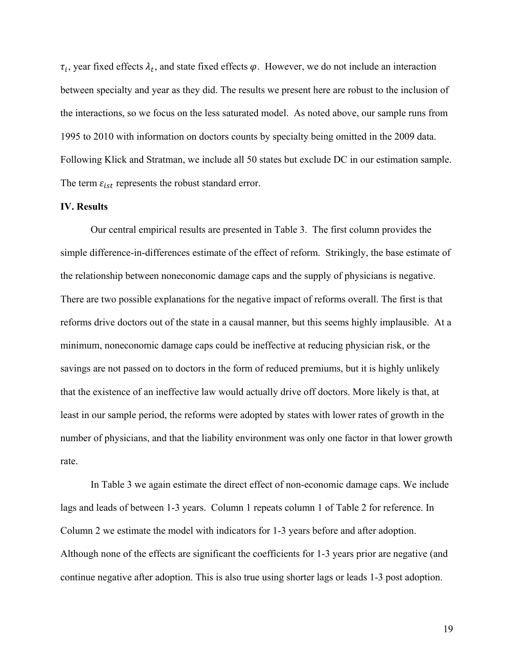$\tau_i$ , year fixed effects  $\lambda_t$ , and state fixed effects  $\varphi$ . However, we do not include an interaction between specialty and year as they did. The results we present here are robust to the inclusion of the interactions, so we focus on the less saturated model. As noted above, our sample runs from 1995 to 2010 with information on doctors counts by specialty being omitted in the 2009 data. Following Klick and Stratman, we include all 50 states but exclude DC in our estimation sample. The term  $\varepsilon_{ist}$  represents the robust standard error.

#### **IV. Results**

Our central empirical results are presented in Table 3. The first column provides the simple difference-in-differences estimate of the effect of reform. Strikingly, the base estimate of the relationship between noneconomic damage caps and the supply of physicians is negative. There are two possible explanations for the negative impact of reforms overall. The first is that reforms drive doctors out of the state in a causal manner, but this seems highly implausible. At a minimum, noneconomic damage caps could be ineffective at reducing physician risk, or the savings are not passed on to doctors in the form of reduced premiums, but it is highly unlikely that the existence of an ineffective law would actually drive off doctors. More likely is that, at least in our sample period, the reforms were adopted by states with lower rates of growth in the number of physicians, and that the liability environment was only one factor in that lower growth rate.

In Table 3 we again estimate the direct effect of non-economic damage caps. We include lags and leads of between 1-3 years. Column 1 repeats column 1 of Table 2 for reference. In Column 2 we estimate the model with indicators for 1-3 years before and after adoption. Although none of the effects are significant the coefficients for 1-3 years prior are negative (and continue negative after adoption. This is also true using shorter lags or leads 1-3 post adoption.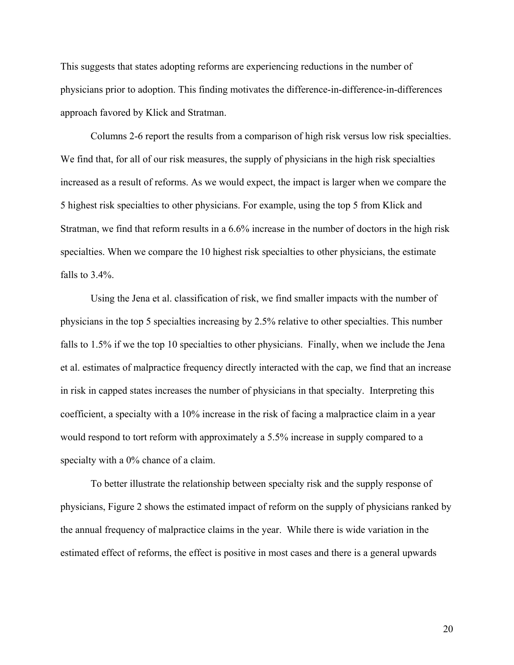This suggests that states adopting reforms are experiencing reductions in the number of physicians prior to adoption. This finding motivates the difference-in-difference-in-differences approach favored by Klick and Stratman.

Columns 2-6 report the results from a comparison of high risk versus low risk specialties. We find that, for all of our risk measures, the supply of physicians in the high risk specialties increased as a result of reforms. As we would expect, the impact is larger when we compare the 5 highest risk specialties to other physicians. For example, using the top 5 from Klick and Stratman, we find that reform results in a 6.6% increase in the number of doctors in the high risk specialties. When we compare the 10 highest risk specialties to other physicians, the estimate falls to 3.4%.

Using the Jena et al. classification of risk, we find smaller impacts with the number of physicians in the top 5 specialties increasing by 2.5% relative to other specialties. This number falls to 1.5% if we the top 10 specialties to other physicians. Finally, when we include the Jena et al. estimates of malpractice frequency directly interacted with the cap, we find that an increase in risk in capped states increases the number of physicians in that specialty. Interpreting this coefficient, a specialty with a 10% increase in the risk of facing a malpractice claim in a year would respond to tort reform with approximately a 5.5% increase in supply compared to a specialty with a 0% chance of a claim.

To better illustrate the relationship between specialty risk and the supply response of physicians, Figure 2 shows the estimated impact of reform on the supply of physicians ranked by the annual frequency of malpractice claims in the year. While there is wide variation in the estimated effect of reforms, the effect is positive in most cases and there is a general upwards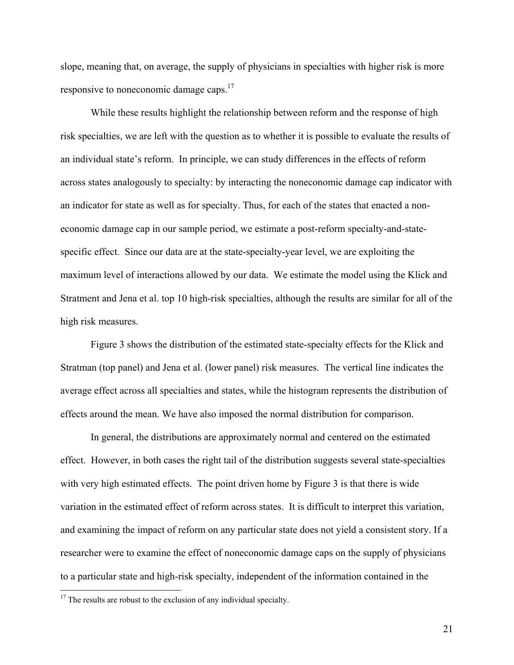slope, meaning that, on average, the supply of physicians in specialties with higher risk is more responsive to noneconomic damage caps.17

While these results highlight the relationship between reform and the response of high risk specialties, we are left with the question as to whether it is possible to evaluate the results of an individual state's reform. In principle, we can study differences in the effects of reform across states analogously to specialty: by interacting the noneconomic damage cap indicator with an indicator for state as well as for specialty. Thus, for each of the states that enacted a noneconomic damage cap in our sample period, we estimate a post-reform specialty-and-statespecific effect. Since our data are at the state-specialty-year level, we are exploiting the maximum level of interactions allowed by our data. We estimate the model using the Klick and Stratment and Jena et al. top 10 high-risk specialties, although the results are similar for all of the high risk measures.

Figure 3 shows the distribution of the estimated state-specialty effects for the Klick and Stratman (top panel) and Jena et al. (lower panel) risk measures. The vertical line indicates the average effect across all specialties and states, while the histogram represents the distribution of effects around the mean. We have also imposed the normal distribution for comparison.

In general, the distributions are approximately normal and centered on the estimated effect. However, in both cases the right tail of the distribution suggests several state-specialties with very high estimated effects. The point driven home by Figure 3 is that there is wide variation in the estimated effect of reform across states. It is difficult to interpret this variation, and examining the impact of reform on any particular state does not yield a consistent story. If a researcher were to examine the effect of noneconomic damage caps on the supply of physicians to a particular state and high-risk specialty, independent of the information contained in the

 $17$  The results are robust to the exclusion of any individual specialty.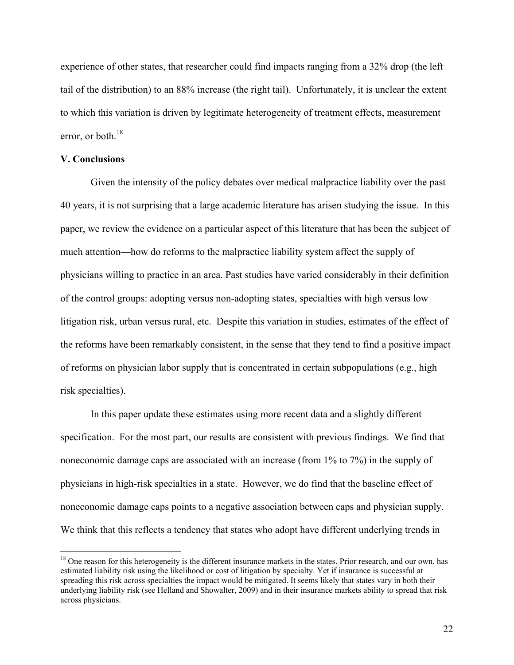experience of other states, that researcher could find impacts ranging from a 32% drop (the left tail of the distribution) to an 88% increase (the right tail). Unfortunately, it is unclear the extent to which this variation is driven by legitimate heterogeneity of treatment effects, measurement error, or both. $18$ 

#### **V. Conclusions**

 $\overline{a}$ 

Given the intensity of the policy debates over medical malpractice liability over the past 40 years, it is not surprising that a large academic literature has arisen studying the issue. In this paper, we review the evidence on a particular aspect of this literature that has been the subject of much attention—how do reforms to the malpractice liability system affect the supply of physicians willing to practice in an area. Past studies have varied considerably in their definition of the control groups: adopting versus non-adopting states, specialties with high versus low litigation risk, urban versus rural, etc. Despite this variation in studies, estimates of the effect of the reforms have been remarkably consistent, in the sense that they tend to find a positive impact of reforms on physician labor supply that is concentrated in certain subpopulations (e.g., high risk specialties).

In this paper update these estimates using more recent data and a slightly different specification. For the most part, our results are consistent with previous findings. We find that noneconomic damage caps are associated with an increase (from 1% to 7%) in the supply of physicians in high-risk specialties in a state. However, we do find that the baseline effect of noneconomic damage caps points to a negative association between caps and physician supply. We think that this reflects a tendency that states who adopt have different underlying trends in

 $<sup>18</sup>$  One reason for this heterogeneity is the different insurance markets in the states. Prior research, and our own, has</sup> estimated liability risk using the likelihood or cost of litigation by specialty. Yet if insurance is successful at spreading this risk across specialties the impact would be mitigated. It seems likely that states vary in both their underlying liability risk (see Helland and Showalter, 2009) and in their insurance markets ability to spread that risk across physicians.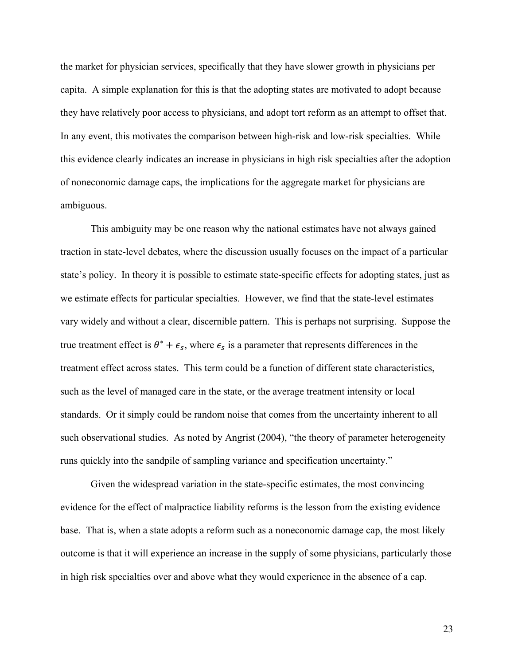the market for physician services, specifically that they have slower growth in physicians per capita. A simple explanation for this is that the adopting states are motivated to adopt because they have relatively poor access to physicians, and adopt tort reform as an attempt to offset that. In any event, this motivates the comparison between high-risk and low-risk specialties. While this evidence clearly indicates an increase in physicians in high risk specialties after the adoption of noneconomic damage caps, the implications for the aggregate market for physicians are ambiguous.

This ambiguity may be one reason why the national estimates have not always gained traction in state-level debates, where the discussion usually focuses on the impact of a particular state's policy. In theory it is possible to estimate state-specific effects for adopting states, just as we estimate effects for particular specialties. However, we find that the state-level estimates vary widely and without a clear, discernible pattern. This is perhaps not surprising. Suppose the true treatment effect is  $\theta^* + \epsilon_s$ , where  $\epsilon_s$  is a parameter that represents differences in the treatment effect across states. This term could be a function of different state characteristics, such as the level of managed care in the state, or the average treatment intensity or local standards. Or it simply could be random noise that comes from the uncertainty inherent to all such observational studies. As noted by Angrist (2004), "the theory of parameter heterogeneity runs quickly into the sandpile of sampling variance and specification uncertainty."

Given the widespread variation in the state-specific estimates, the most convincing evidence for the effect of malpractice liability reforms is the lesson from the existing evidence base. That is, when a state adopts a reform such as a noneconomic damage cap, the most likely outcome is that it will experience an increase in the supply of some physicians, particularly those in high risk specialties over and above what they would experience in the absence of a cap.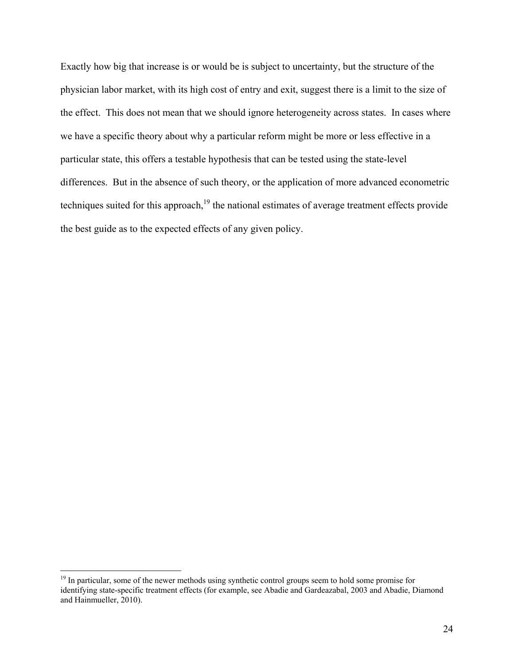Exactly how big that increase is or would be is subject to uncertainty, but the structure of the physician labor market, with its high cost of entry and exit, suggest there is a limit to the size of the effect. This does not mean that we should ignore heterogeneity across states. In cases where we have a specific theory about why a particular reform might be more or less effective in a particular state, this offers a testable hypothesis that can be tested using the state-level differences. But in the absence of such theory, or the application of more advanced econometric techniques suited for this approach, $19$  the national estimates of average treatment effects provide the best guide as to the expected effects of any given policy.

<sup>&</sup>lt;sup>19</sup> In particular, some of the newer methods using synthetic control groups seem to hold some promise for identifying state-specific treatment effects (for example, see Abadie and Gardeazabal, 2003 and Abadie, Diamond and Hainmueller, 2010).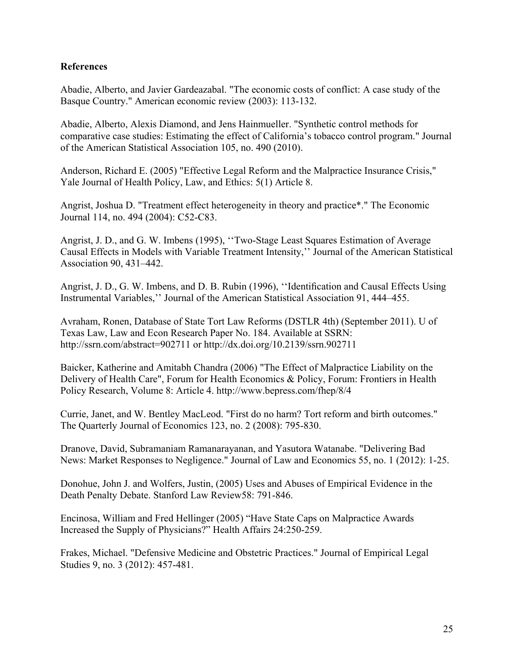### **References**

Abadie, Alberto, and Javier Gardeazabal. "The economic costs of conflict: A case study of the Basque Country." American economic review (2003): 113-132.

Abadie, Alberto, Alexis Diamond, and Jens Hainmueller. "Synthetic control methods for comparative case studies: Estimating the effect of California's tobacco control program." Journal of the American Statistical Association 105, no. 490 (2010).

Anderson, Richard E. (2005) "Effective Legal Reform and the Malpractice Insurance Crisis," Yale Journal of Health Policy, Law, and Ethics: 5(1) Article 8.

Angrist, Joshua D. "Treatment effect heterogeneity in theory and practice\*." The Economic Journal 114, no. 494 (2004): C52-C83.

Angrist, J. D., and G. W. Imbens (1995), ''Two-Stage Least Squares Estimation of Average Causal Effects in Models with Variable Treatment Intensity,'' Journal of the American Statistical Association 90, 431–442.

Angrist, J. D., G. W. Imbens, and D. B. Rubin (1996), ''Identification and Causal Effects Using Instrumental Variables,'' Journal of the American Statistical Association 91, 444–455.

Avraham, Ronen, Database of State Tort Law Reforms (DSTLR 4th) (September 2011). U of Texas Law, Law and Econ Research Paper No. 184. Available at SSRN: <http://ssrn.com/abstract=902711>or<http://dx.doi.org/10.2139/ssrn.902711>

Baicker, Katherine and Amitabh Chandra (2006) "The Effect of Malpractice Liability on the Delivery of Health Care", Forum for Health Economics & Policy, Forum: Frontiers in Health Policy Research, Volume 8: Article 4.<http://www.bepress.com/fhep/8/4>

Currie, Janet, and W. Bentley MacLeod. "First do no harm? Tort reform and birth outcomes." The Quarterly Journal of Economics 123, no. 2 (2008): 795-830.

Dranove, David, Subramaniam Ramanarayanan, and Yasutora Watanabe. "Delivering Bad News: Market Responses to Negligence." Journal of Law and Economics 55, no. 1 (2012): 1-25.

Donohue, John J. and Wolfers, Justin, (2005) Uses and Abuses of Empirical Evidence in the Death Penalty Debate. Stanford Law Review58: 791-846.

Encinosa, William and Fred Hellinger (2005) "Have State Caps on Malpractice Awards Increased the Supply of Physicians?" Health Affairs 24:250-259.

Frakes, Michael. "Defensive Medicine and Obstetric Practices." Journal of Empirical Legal Studies 9, no. 3 (2012): 457-481.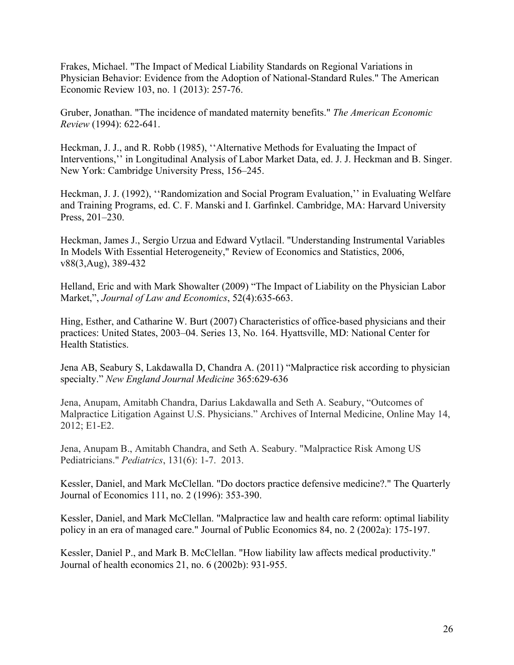Frakes, Michael. "The Impact of Medical Liability Standards on Regional Variations in Physician Behavior: Evidence from the Adoption of National-Standard Rules." The American Economic Review 103, no. 1 (2013): 257-76.

Gruber, Jonathan. "The incidence of mandated maternity benefits." *The American Economic Review* (1994): 622-641.

Heckman, J. J., and R. Robb (1985), ''Alternative Methods for Evaluating the Impact of Interventions,'' in Longitudinal Analysis of Labor Market Data, ed. J. J. Heckman and B. Singer. New York: Cambridge University Press, 156–245.

Heckman, J. J. (1992), "Randomization and Social Program Evaluation," in Evaluating Welfare and Training Programs, ed. C. F. Manski and I. Garfinkel. Cambridge, MA: Harvard University Press, 201–230.

Heckman, James J., Sergio Urzua and Edward Vytlacil. "Understanding Instrumental Variables In Models With Essential Heterogeneity," Review of Economics and Statistics, 2006, v88(3,Aug), 389-432

Helland, Eric and with Mark Showalter (2009) "The Impact of Liability on the Physician Labor Market,", *Journal of Law and Economics*, 52(4):635-663.

Hing, Esther, and Catharine W. Burt (2007) Characteristics of office-based physicians and their practices: United States, 2003–04. Series 13, No. 164. Hyattsville, MD: National Center for Health Statistics.

Jena AB, Seabury S, Lakdawalla D, Chandra A. (2011) "Malpractice risk according to physician specialty." *New England Journal Medicine* 365:629-636

Jena, Anupam, Amitabh Chandra, Darius Lakdawalla and Seth A. Seabury, "Outcomes of Malpractice Litigation Against U.S. Physicians." Archives of Internal Medicine, Online May 14, 2012; E1-E2.

Jena, Anupam B., Amitabh Chandra, and Seth A. Seabury. "Malpractice Risk Among US Pediatricians." *Pediatrics*, 131(6): 1-7. 2013.

Kessler, Daniel, and Mark McClellan. "Do doctors practice defensive medicine?." The Quarterly Journal of Economics 111, no. 2 (1996): 353-390.

Kessler, Daniel, and Mark McClellan. "Malpractice law and health care reform: optimal liability policy in an era of managed care." Journal of Public Economics 84, no. 2 (2002a): 175-197.

Kessler, Daniel P., and Mark B. McClellan. "How liability law affects medical productivity." Journal of health economics 21, no. 6 (2002b): 931-955.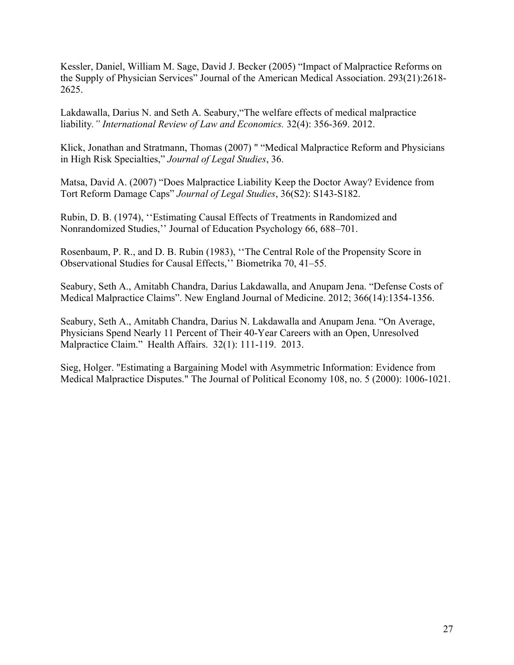Kessler, Daniel, William M. Sage, David J. Becker (2005) "Impact of Malpractice Reforms on the Supply of Physician Services" Journal of the American Medical Association. 293(21):2618- 2625.

Lakdawalla, Darius N. and Seth A. Seabury,"The welfare effects of medical malpractice liability*." International Review of Law and Economics.* 32(4): 356-369. 2012.

Klick, Jonathan and Stratmann, Thomas (2007) " "Medical Malpractice Reform and Physicians in High Risk Specialties," *Journal of Legal Studies*, 36.

Matsa, David A. (2007) "Does Malpractice Liability Keep the Doctor Away? Evidence from Tort Reform Damage Caps" *Journal of Legal Studies*, 36(S2): S143-S182.

Rubin, D. B. (1974), ''Estimating Causal Effects of Treatments in Randomized and Nonrandomized Studies,'' Journal of Education Psychology 66, 688–701.

Rosenbaum, P. R., and D. B. Rubin (1983), ''The Central Role of the Propensity Score in Observational Studies for Causal Effects,'' Biometrika 70, 41–55.

Seabury, Seth A., Amitabh Chandra, Darius Lakdawalla, and Anupam Jena. "Defense Costs of Medical Malpractice Claims". New England Journal of Medicine. 2012; 366(14):1354-1356.

Seabury, Seth A., Amitabh Chandra, Darius N. Lakdawalla and Anupam Jena. "On Average, Physicians Spend Nearly 11 Percent of Their 40-Year Careers with an Open, Unresolved Malpractice Claim." Health Affairs. 32(1): 111-119. 2013.

Sieg, Holger. "Estimating a Bargaining Model with Asymmetric Information: Evidence from Medical Malpractice Disputes." The Journal of Political Economy 108, no. 5 (2000): 1006-1021.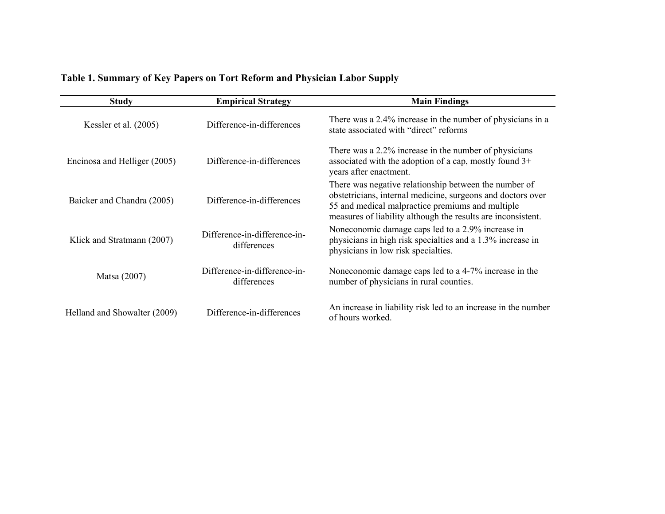| <b>Study</b>                 | <b>Empirical Strategy</b>                   | <b>Main Findings</b>                                                                                                                                                                                                                     |  |  |  |
|------------------------------|---------------------------------------------|------------------------------------------------------------------------------------------------------------------------------------------------------------------------------------------------------------------------------------------|--|--|--|
| Kessler et al. $(2005)$      | Difference-in-differences                   | There was a 2.4% increase in the number of physicians in a<br>state associated with "direct" reforms                                                                                                                                     |  |  |  |
| Encinosa and Helliger (2005) | Difference-in-differences                   | There was a 2.2% increase in the number of physicians<br>associated with the adoption of a cap, mostly found 3+<br>years after enactment.                                                                                                |  |  |  |
| Baicker and Chandra (2005)   | Difference-in-differences                   | There was negative relationship between the number of<br>obstetricians, internal medicine, surgeons and doctors over<br>55 and medical malpractice premiums and multiple<br>measures of liability although the results are inconsistent. |  |  |  |
| Klick and Stratmann (2007)   | Difference-in-difference-in-<br>differences | Noneconomic damage caps led to a 2.9% increase in<br>physicians in high risk specialties and a 1.3% increase in<br>physicians in low risk specialties.                                                                                   |  |  |  |
| Matsa (2007)                 | Difference-in-difference-in-<br>differences | Noneconomic damage caps led to a 4-7% increase in the<br>number of physicians in rural counties.                                                                                                                                         |  |  |  |
| Helland and Showalter (2009) | Difference-in-differences                   | An increase in liability risk led to an increase in the number<br>of hours worked.                                                                                                                                                       |  |  |  |

## **Table 1. Summary of Key Papers on Tort Reform and Physician Labor Supply**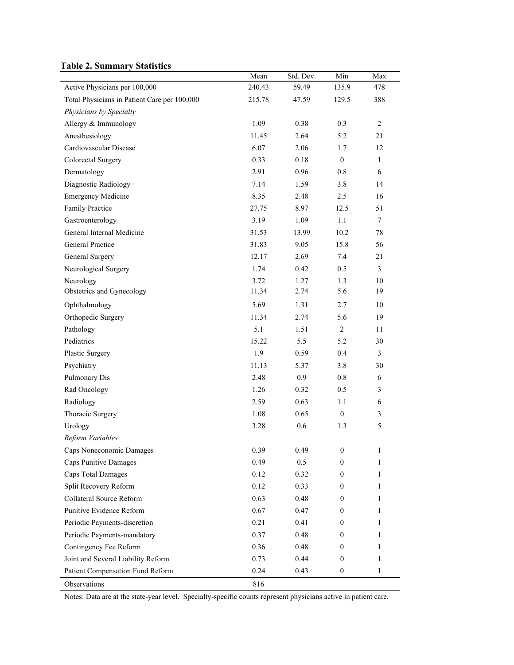### **Table 2. Summary Statistics**

|                                              | Mean   | Std. Dev. | Min              | Max            |
|----------------------------------------------|--------|-----------|------------------|----------------|
| Active Physicians per 100,000                | 240.43 | 59.49     | 135.9            | 478            |
| Total Physicians in Patient Care per 100,000 | 215.78 | 47.59     | 129.5            | 388            |
| <b>Physicians by Specialty</b>               |        |           |                  |                |
| Allergy & Immunology                         | 1.09   | 0.38      | 0.3              | $\overline{2}$ |
| Anesthesiology                               | 11.45  | 2.64      | 5.2              | 21             |
| Cardiovascular Disease                       | 6.07   | 2.06      | 1.7              | 12             |
| Colorectal Surgery                           | 0.33   | 0.18      | $\mathbf{0}$     | $\mathbf{1}$   |
| Dermatology                                  | 2.91   | 0.96      | 0.8              | 6              |
| Diagnostic Radiology                         | 7.14   | 1.59      | 3.8              | 14             |
| <b>Emergency Medicine</b>                    | 8.35   | 2.48      | 2.5              | 16             |
| Family Practice                              | 27.75  | 8.97      | 12.5             | 51             |
| Gastroenterology                             | 3.19   | 1.09      | 1.1              | $\tau$         |
| General Internal Medicine                    | 31.53  | 13.99     | 10.2             | 78             |
| <b>General Practice</b>                      | 31.83  | 9.05      | 15.8             | 56             |
| General Surgery                              | 12.17  | 2.69      | 7.4              | 21             |
| Neurological Surgery                         | 1.74   | 0.42      | 0.5              | 3              |
| Neurology                                    | 3.72   | 1.27      | 1.3              | 10             |
| Obstetrics and Gynecology                    | 11.34  | 2.74      | 5.6              | 19             |
| Ophthalmology                                | 5.69   | 1.31      | 2.7              | 10             |
| Orthopedic Surgery                           | 11.34  | 2.74      | 5.6              | 19             |
| Pathology                                    | 5.1    | 1.51      | $\boldsymbol{2}$ | 11             |
| Pediatrics                                   | 15.22  | 5.5       | 5.2              | 30             |
| Plastic Surgery                              | 1.9    | 0.59      | 0.4              | $\mathfrak{Z}$ |
| Psychiatry                                   | 11.13  | 5.37      | 3.8              | 30             |
| Pulmonary Dis                                | 2.48   | 0.9       | $0.8\,$          | 6              |
| Rad Oncology                                 | 1.26   | 0.32      | 0.5              | $\mathfrak{Z}$ |
| Radiology                                    | 2.59   | 0.63      | 1.1              | 6              |
| Thoracic Surgery                             | 1.08   | 0.65      | $\boldsymbol{0}$ | $\mathfrak{Z}$ |
| Urology                                      | 3.28   | 0.6       | 1.3              | 5              |
| Reform Variables                             |        |           |                  |                |
| Caps Noneconomic Damages                     | 0.39   | 0.49      | $\boldsymbol{0}$ | 1              |
| Caps Punitive Damages                        | 0.49   | 0.5       | $\mathbf{0}$     | 1              |
| <b>Caps Total Damages</b>                    | 0.12   | 0.32      | $\boldsymbol{0}$ | 1              |
| Split Recovery Reform                        | 0.12   | 0.33      | $\mathbf{0}$     | 1              |
| Collateral Source Reform                     | 0.63   | 0.48      | $\mathbf{0}$     | 1              |
| Punitive Evidence Reform                     | 0.67   | 0.47      | $\boldsymbol{0}$ | 1              |
| Periodic Payments-discretion                 | 0.21   | 0.41      | $\boldsymbol{0}$ | 1              |
| Periodic Payments-mandatory                  | 0.37   | 0.48      | $\boldsymbol{0}$ | 1              |
| Contingency Fee Reform                       | 0.36   | 0.48      | $\mathbf{0}$     | 1              |
| Joint and Several Liability Reform           | 0.73   | 0.44      | $\boldsymbol{0}$ | 1              |
| Patient Compensation Fund Reform             | 0.24   | 0.43      | $\boldsymbol{0}$ | 1              |
| Observations                                 | 816    |           |                  |                |

Notes: Data are at the state-year level. Specialty-specific counts represent physicians active in patient care.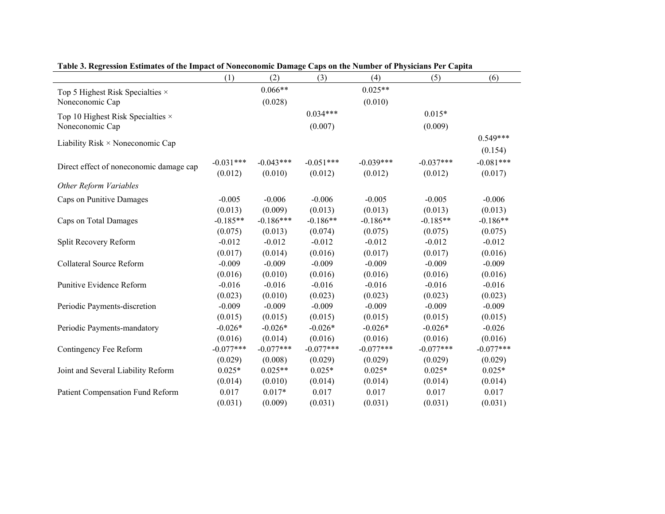|                                          | (1)         | (2)         | (3)         | (4)         | (5)         | (6)         |
|------------------------------------------|-------------|-------------|-------------|-------------|-------------|-------------|
| Top 5 Highest Risk Specialties $\times$  |             | $0.066**$   |             | $0.025**$   |             |             |
| Noneconomic Cap                          |             | (0.028)     |             | (0.010)     |             |             |
| Top 10 Highest Risk Specialties $\times$ |             |             | $0.034***$  |             | $0.015*$    |             |
| Noneconomic Cap                          |             |             | (0.007)     |             | (0.009)     |             |
|                                          |             |             |             |             |             | $0.549***$  |
| Liability Risk $\times$ Noneconomic Cap  |             |             |             |             |             | (0.154)     |
|                                          | $-0.031***$ | $-0.043***$ | $-0.051***$ | $-0.039***$ | $-0.037***$ | $-0.081***$ |
| Direct effect of noneconomic damage cap  | (0.012)     | (0.010)     | (0.012)     | (0.012)     | (0.012)     | (0.017)     |
| Other Reform Variables                   |             |             |             |             |             |             |
|                                          |             |             |             |             |             |             |
| Caps on Punitive Damages                 | $-0.005$    | $-0.006$    | $-0.006$    | $-0.005$    | $-0.005$    | $-0.006$    |
|                                          | (0.013)     | (0.009)     | (0.013)     | (0.013)     | (0.013)     | (0.013)     |
| Caps on Total Damages                    | $-0.185**$  | $-0.186***$ | $-0.186**$  | $-0.186**$  | $-0.185**$  | $-0.186**$  |
|                                          | (0.075)     | (0.013)     | (0.074)     | (0.075)     | (0.075)     | (0.075)     |
| Split Recovery Reform                    | $-0.012$    | $-0.012$    | $-0.012$    | $-0.012$    | $-0.012$    | $-0.012$    |
|                                          | (0.017)     | (0.014)     | (0.016)     | (0.017)     | (0.017)     | (0.016)     |
| <b>Collateral Source Reform</b>          | $-0.009$    | $-0.009$    | $-0.009$    | $-0.009$    | $-0.009$    | $-0.009$    |
|                                          | (0.016)     | (0.010)     | (0.016)     | (0.016)     | (0.016)     | (0.016)     |
| Punitive Evidence Reform                 | $-0.016$    | $-0.016$    | $-0.016$    | $-0.016$    | $-0.016$    | $-0.016$    |
|                                          | (0.023)     | (0.010)     | (0.023)     | (0.023)     | (0.023)     | (0.023)     |
| Periodic Payments-discretion             | $-0.009$    | $-0.009$    | $-0.009$    | $-0.009$    | $-0.009$    | $-0.009$    |
|                                          | (0.015)     | (0.015)     | (0.015)     | (0.015)     | (0.015)     | (0.015)     |
| Periodic Payments-mandatory              | $-0.026*$   | $-0.026*$   | $-0.026*$   | $-0.026*$   | $-0.026*$   | $-0.026$    |
|                                          | (0.016)     | (0.014)     | (0.016)     | (0.016)     | (0.016)     | (0.016)     |
| Contingency Fee Reform                   | $-0.077***$ | $-0.077***$ | $-0.077***$ | $-0.077***$ | $-0.077***$ | $-0.077***$ |
|                                          | (0.029)     | (0.008)     | (0.029)     | (0.029)     | (0.029)     | (0.029)     |
| Joint and Several Liability Reform       | $0.025*$    | $0.025**$   | $0.025*$    | $0.025*$    | $0.025*$    | $0.025*$    |
|                                          | (0.014)     | (0.010)     | (0.014)     | (0.014)     | (0.014)     | (0.014)     |
| Patient Compensation Fund Reform         | 0.017       | $0.017*$    | 0.017       | 0.017       | 0.017       | 0.017       |
|                                          | (0.031)     | (0.009)     | (0.031)     | (0.031)     | (0.031)     | (0.031)     |

**Table 3. Regression Estimates of the Impact of Noneconomic Damage Caps on the Number of Physicians Per Capita**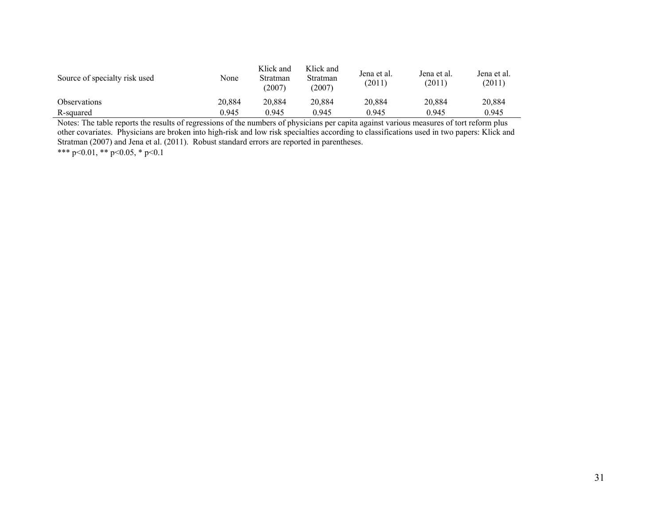| Source of specialty risk used | None   | Klick and<br>Stratman<br>(2007) | Klick and<br><b>Stratman</b><br>(2007) | Jena et al.<br>(2011) | Jena et al.<br>(2011) | Jena et al.<br>(2011) |
|-------------------------------|--------|---------------------------------|----------------------------------------|-----------------------|-----------------------|-----------------------|
| <b>Observations</b>           | 20.884 | 20.884                          | 20.884                                 | 20.884                | 20.884                | 20.884                |
| R-squared                     | 0.945  | 0.945                           | 0.945                                  | 0.945                 | 0.945                 | 0.945                 |

Notes: The table reports the results of regressions of the numbers of physicians per capita against various measures of tort reform plus other covariates. Physicians are broken into high-risk and low risk specialties according to classifications used in two papers: Klick and Stratman (2007) and Jena et al. (2011). Robust standard errors are reported in parentheses.

\*\*\* p<0.01, \*\* p<0.05, \* p<0.1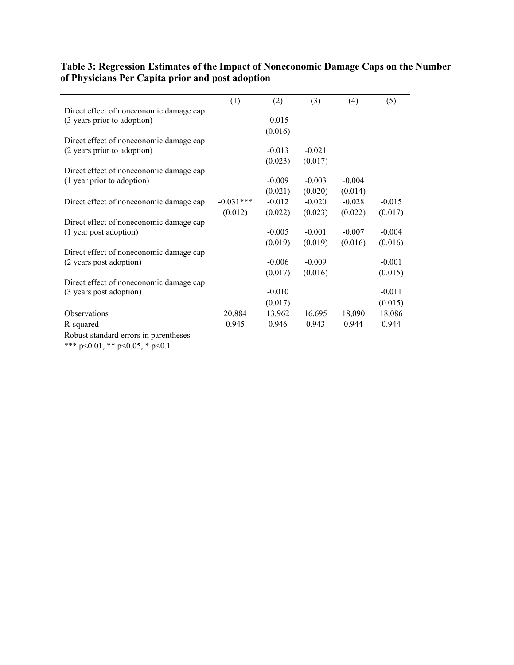| $-0.015$ |
|----------|
| (0.017)  |
|          |
| $-0.004$ |
| (0.016)  |
|          |
| $-0.001$ |
| (0.015)  |
|          |
| $-0.011$ |
| (0.015)  |
| 18,086   |
| 0.944    |
|          |

### **Table 3: Regression Estimates of the Impact of Noneconomic Damage Caps on the Number of Physicians Per Capita prior and post adoption**

Robust standard errors in parentheses

\*\*\* p<0.01, \*\* p<0.05, \* p<0.1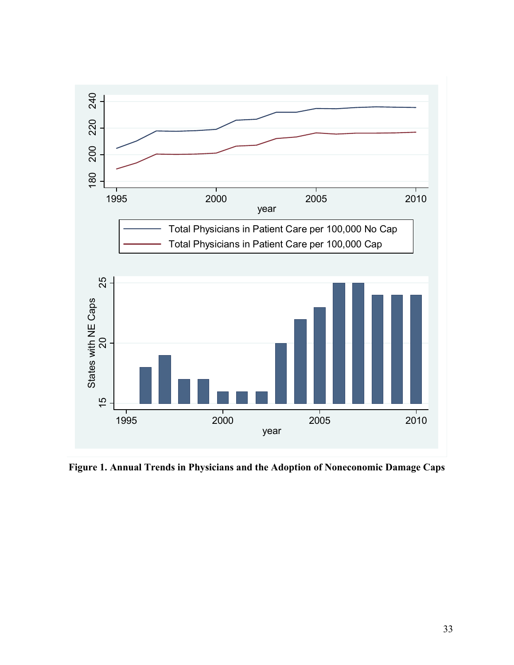

**Figure 1. Annual Trends in Physicians and the Adoption of Noneconomic Damage Caps**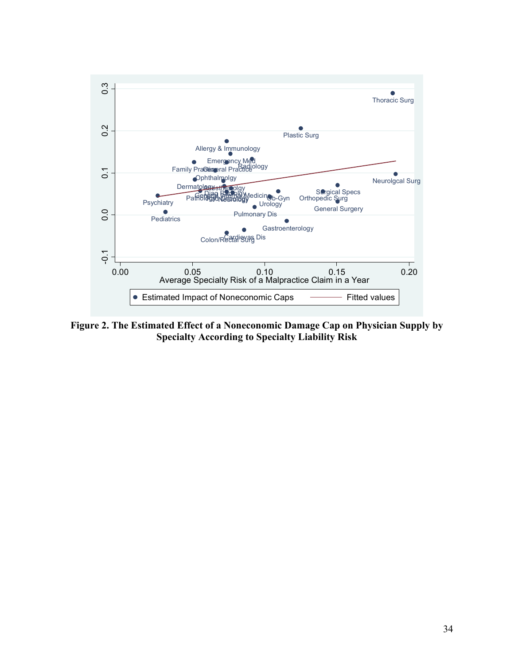

**Figure 2. The Estimated Effect of a Noneconomic Damage Cap on Physician Supply by Specialty According to Specialty Liability Risk**